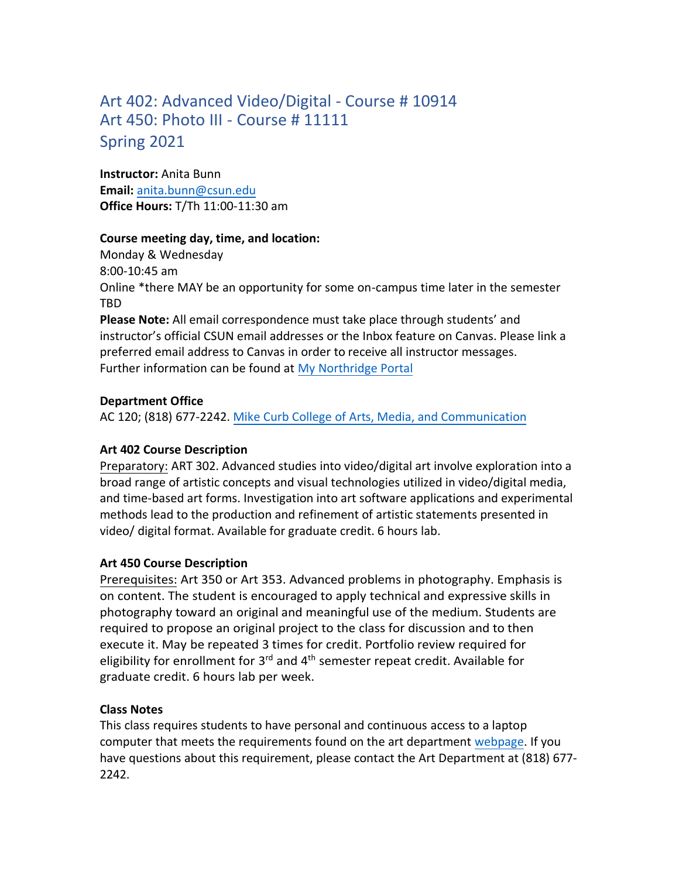# Art 402: Advanced Video/Digital - Course # 10914 Art 450: Photo III - Course # 11111 Spring 2021

**Instructor:** Anita Bunn **Email:** [anita.bunn@csun.edu](mailto:anita.bunn@csun.edu) **Office Hours:** T/Th 11:00-11:30 am

### **Course meeting day, time, and location:**

Monday & Wednesday 8:00-10:45 am Online \*there MAY be an opportunity for some on-campus time later in the semester TBD

**Please Note:** All email correspondence must take place through students' and instructor's official CSUN email addresses or the Inbox feature on Canvas. Please link a preferred email address to Canvas in order to receive all instructor messages. Further information can be found at [My Northridge Portal](http://www.csun.edu/)

### **Department Office**

AC 120; (818) 677-2242. [Mike Curb College of Arts, Media, and Communication](https://www.csun.edu/mike-curb-arts-media-communication)

# **Art 402 Course Description**

Preparatory: ART 302. Advanced studies into video/digital art involve exploration into a broad range of artistic concepts and visual technologies utilized in video/digital media, and time-based art forms. Investigation into art software applications and experimental methods lead to the production and refinement of artistic statements presented in video/ digital format. Available for graduate credit. 6 hours lab.

# **Art 450 Course Description**

Prerequisites: Art 350 or Art 353. Advanced problems in photography. Emphasis is on content. The student is encouraged to apply technical and expressive skills in photography toward an original and meaningful use of the medium. Students are required to propose an original project to the class for discussion and to then execute it. May be repeated 3 times for credit. Portfolio review required for eligibility for enrollment for 3<sup>rd</sup> and 4<sup>th</sup> semester repeat credit. Available for graduate credit. 6 hours lab per week.

# **Class Notes**

This class requires students to have personal and continuous access to a laptop computer that meets the requirements found on the art department [webpage.](https://www.csun.edu/mike-curb-arts-media-communication/art/laptop) If you have questions about this requirement, please contact the Art Department at (818) 677- 2242.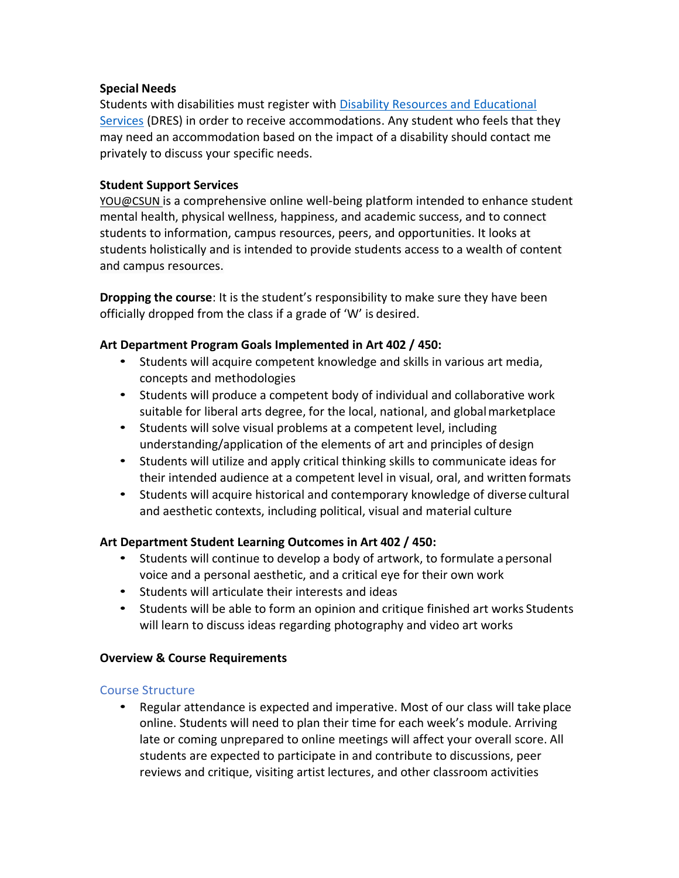### **Special Needs**

Students with disabilities must register with [Disability Resources and Educational](https://www.csun.edu/dres) [Services](https://www.csun.edu/dres) (DRES) in order to receive accommodations. Any student who feels that they may need an accommodation based on the impact of a disability should contact me privately to discuss your specific needs.

### **Student Support Services**

[YOU@CSUN](https://you.csun.edu/) is a comprehensive online well-being platform intended to enhance student mental health, physical wellness, happiness, and academic success, and to connect students to information, campus resources, peers, and opportunities. It looks at students holistically and is intended to provide students access to a wealth of content and campus resources.

**Dropping the course**: It is the student's responsibility to make sure they have been officially dropped from the class if a grade of 'W' is desired.

# **Art Department Program Goals Implemented in Art 402 / 450:**

- Students will acquire competent knowledge and skills in various art media, concepts and methodologies
- Students will produce a competent body of individual and collaborative work suitable for liberal arts degree, for the local, national, and globalmarketplace
- Students will solve visual problems at a competent level, including understanding/application of the elements of art and principles of design
- Students will utilize and apply critical thinking skills to communicate ideas for their intended audience at a competent level in visual, oral, and written formats
- Students will acquire historical and contemporary knowledge of diverse cultural and aesthetic contexts, including political, visual and material culture

# **Art Department Student Learning Outcomes in Art 402 / 450:**

- Students will continue to develop a body of artwork, to formulate apersonal voice and a personal aesthetic, and a critical eye for their own work
- Students will articulate their interests and ideas
- Students will be able to form an opinion and critique finished art works Students will learn to discuss ideas regarding photography and video art works

# **Overview & Course Requirements**

### Course Structure

• Regular attendance is expected and imperative. Most of our class will take place online. Students will need to plan their time for each week's module. Arriving late or coming unprepared to online meetings will affect your overall score. All students are expected to participate in and contribute to discussions, peer reviews and critique, visiting artist lectures, and other classroom activities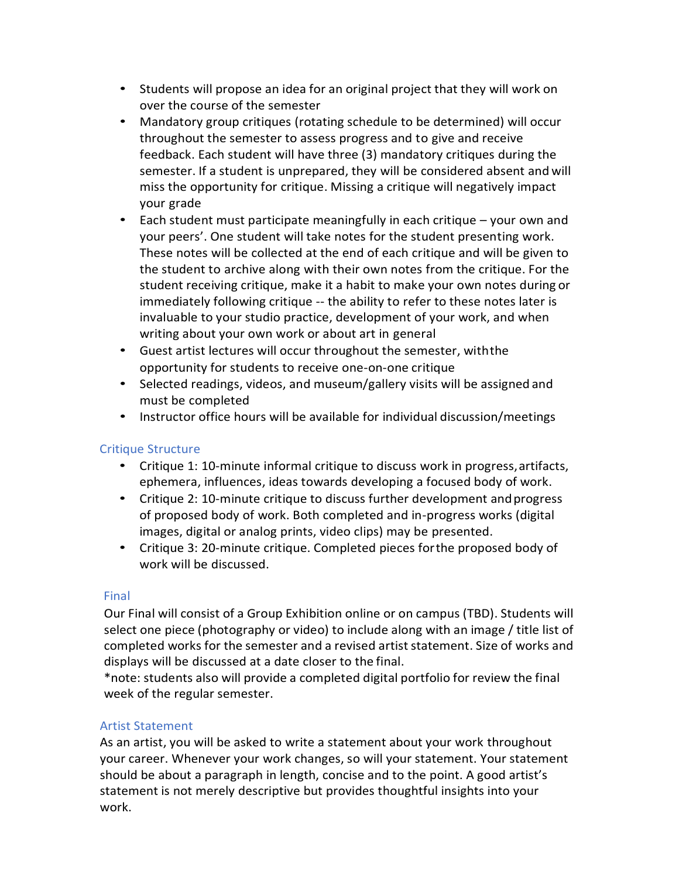- Students will propose an idea for an original project that they will work on over the course of the semester
- Mandatory group critiques (rotating schedule to be determined) will occur throughout the semester to assess progress and to give and receive feedback. Each student will have three (3) mandatory critiques during the semester. If a student is unprepared, they will be considered absent and will miss the opportunity for critique. Missing a critique will negatively impact your grade
- Each student must participate meaningfully in each critique your own and your peers'. One student will take notes for the student presenting work. These notes will be collected at the end of each critique and will be given to the student to archive along with their own notes from the critique. For the student receiving critique, make it a habit to make your own notes during or immediately following critique -- the ability to refer to these notes later is invaluable to your studio practice, development of your work, and when writing about your own work or about art in general
- Guest artist lectures will occur throughout the semester, withthe opportunity for students to receive one-on-one critique
- Selected readings, videos, and museum/gallery visits will be assigned and must be completed
- Instructor office hours will be available for individual discussion/meetings

# Critique Structure

- Critique 1: 10-minute informal critique to discuss work in progress,artifacts, ephemera, influences, ideas towards developing a focused body of work.
- Critique 2: 10-minute critique to discuss further development andprogress of proposed body of work. Both completed and in-progress works (digital images, digital or analog prints, video clips) may be presented.
- Critique 3: 20-minute critique. Completed pieces forthe proposed body of work will be discussed.

# Final

Our Final will consist of a Group Exhibition online or on campus (TBD). Students will select one piece (photography or video) to include along with an image / title list of completed works for the semester and a revised artist statement. Size of works and displays will be discussed at a date closer to the final.

\*note: students also will provide a completed digital portfolio for review the final week of the regular semester.

# Artist Statement

As an artist, you will be asked to write a statement about your work throughout your career. Whenever your work changes, so will your statement. Your statement should be about a paragraph in length, concise and to the point. A good artist's statement is not merely descriptive but provides thoughtful insights into your work.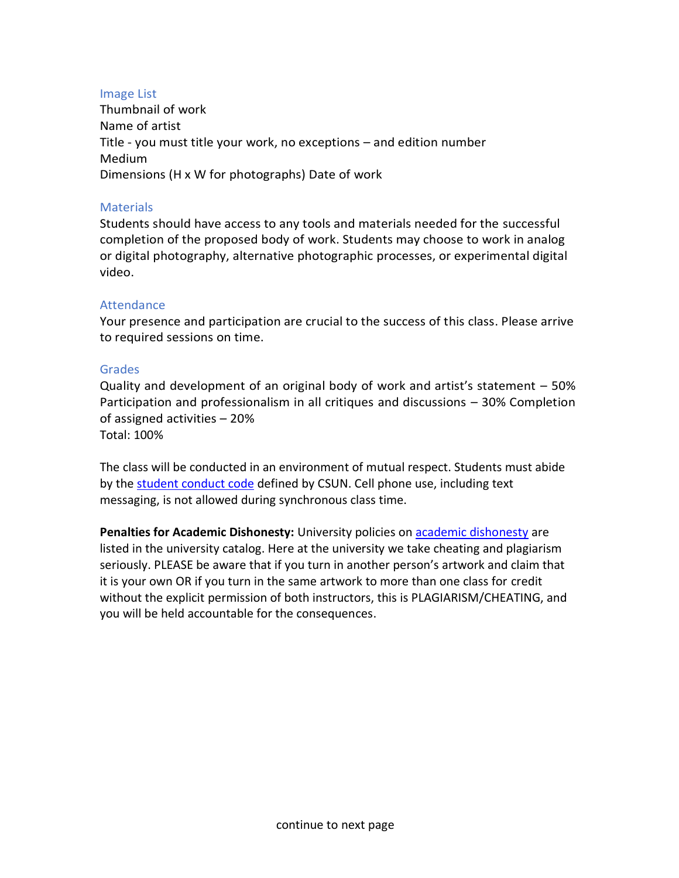#### Image List

Thumbnail of work Name of artist Title - you must title your work, no exceptions – and edition number Medium Dimensions (H x W for photographs) Date of work

#### **Materials**

Students should have access to any tools and materials needed for the successful completion of the proposed body of work. Students may choose to work in analog or digital photography, alternative photographic processes, or experimental digital video.

#### **Attendance**

Your presence and participation are crucial to the success of this class. Please arrive to required sessions on time.

#### Grades

Quality and development of an original body of work and artist's statement – 50% Participation and professionalism in all critiques and discussions – 30% Completion of assigned activities – 20% Total: 100%

The class will be conducted in an environment of mutual respect. Students must abide by the [student conduct code](https://catalog.csun.edu/policies/student-conduct-code/) defined by CSUN. Cell phone use, including text messaging, is not allowed during synchronous class time.

**Penalties for Academic Dishonesty:** University policies o[n academic dishonesty](https://catalog.csun.edu/policies/academic-dishonesty/) are listed in the university catalog. Here at the university we take cheating and plagiarism seriously. PLEASE be aware that if you turn in another person's artwork and claim that it is your own OR if you turn in the same artwork to more than one class for credit without the explicit permission of both instructors, this is PLAGIARISM/CHEATING, and you will be held accountable for the consequences.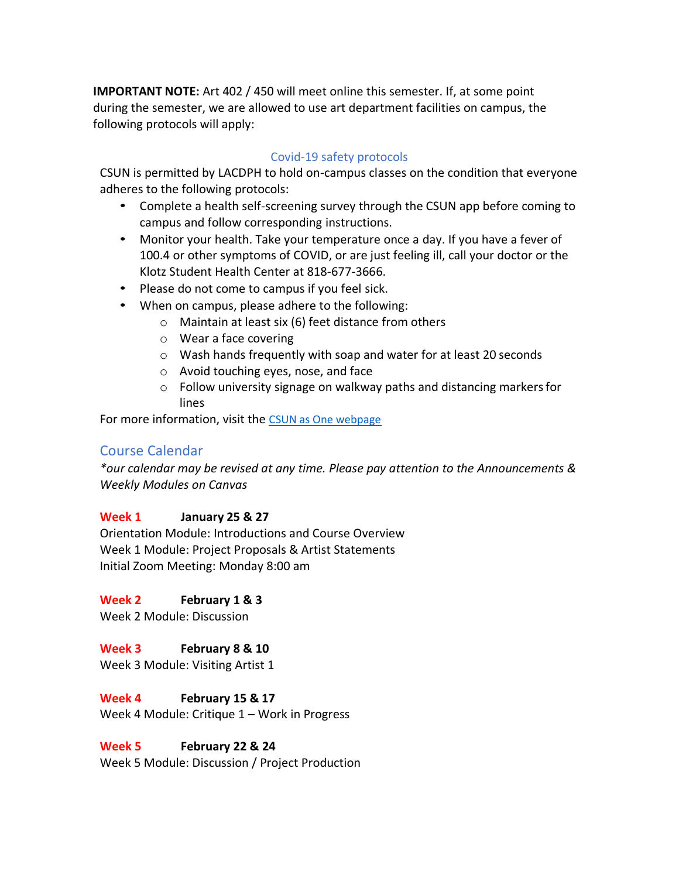**IMPORTANT NOTE:** Art 402 / 450 will meet online this semester. If, at some point during the semester, we are allowed to use art department facilities on campus, the following protocols will apply:

### Covid-19 safety protocols

CSUN is permitted by LACDPH to hold on-campus classes on the condition that everyone adheres to the following protocols:

- Complete a health self-screening survey through the CSUN app before coming to campus and follow corresponding instructions.
- Monitor your health. Take your temperature once a day. If you have a fever of 100.4 or other symptoms of COVID, or are just feeling ill, call your doctor or the Klotz Student Health Center at 818-677-3666.
- Please do not come to campus if you feel sick.
- When on campus, please adhere to the following:
	- o Maintain at least six (6) feet distance from others
	- o Wear a face covering
	- o Wash hands frequently with soap and water for at least 20 seconds
	- o Avoid touching eyes, nose, and face
	- o Follow university signage on walkway paths and distancing markersfor lines

For more information, visit the [CSUN as One webpage](http://csun.edu/csunasone)

# Course Calendar

*\*our calendar may be revised at any time. Please pay attention to the Announcements & Weekly Modules on Canvas*

### **Week 1 January 25 & 27**

Orientation Module: Introductions and Course Overview Week 1 Module: Project Proposals & Artist Statements Initial Zoom Meeting: Monday 8:00 am

# **Week 2 February 1 & 3**

Week 2 Module: Discussion

# **Week 3 February 8 & 10**

Week 3 Module: Visiting Artist 1

# **Week 4 February 15 & 17**

Week 4 Module: Critique 1 – Work in Progress

# **Week 5 February 22 & 24**

Week 5 Module: Discussion / Project Production